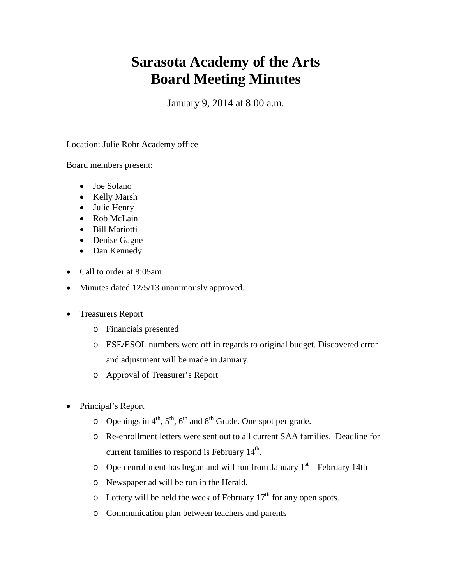## **Sarasota Academy of the Arts Board Meeting Minutes**

January 9, 2014 at 8:00 a.m.

Location: Julie Rohr Academy office

Board members present:

- Joe Solano
- Kelly Marsh
- Julie Henry
- Rob McLain
- Bill Mariotti
- Denise Gagne
- Dan Kennedy
- Call to order at 8:05am
- Minutes dated 12/5/13 unanimously approved.
- Treasurers Report
	- o Financials presented
	- o ESE/ESOL numbers were off in regards to original budget. Discovered error and adjustment will be made in January.
	- o Approval of Treasurer's Report
- Principal's Report
	- $\circ$  Openings in 4<sup>th</sup>, 5<sup>th</sup>, 6<sup>th</sup> and 8<sup>th</sup> Grade. One spot per grade.
	- o Re-enrollment letters were sent out to all current SAA families. Deadline for current families to respond is February  $14<sup>th</sup>$ .
	- o Open enrollment has begun and will run from January  $1<sup>st</sup>$  February 14th
	- o Newspaper ad will be run in the Herald.
	- $\circ$  Lottery will be held the week of February 17<sup>th</sup> for any open spots.
	- o Communication plan between teachers and parents